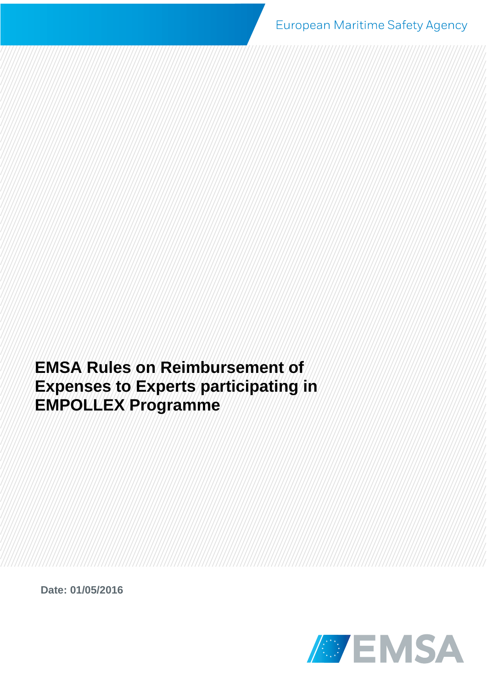European Maritime Safety Agency

**EMSA Rules on Reimbursement of Expenses to Experts participating in EMPOLLEX Programme**

**Date: 01/05/2016**

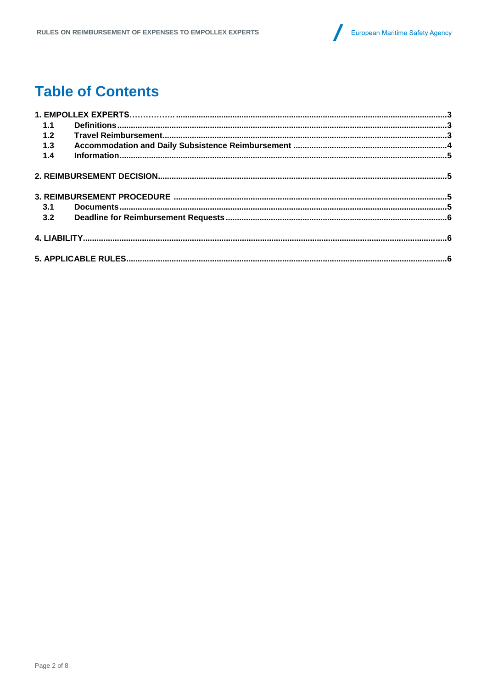

## **Table of Contents**

| 1.1   |  |  |
|-------|--|--|
| 1.2   |  |  |
| 1.3   |  |  |
| $1.4$ |  |  |
|       |  |  |
|       |  |  |
| 3.1   |  |  |
| 3.2   |  |  |
|       |  |  |
|       |  |  |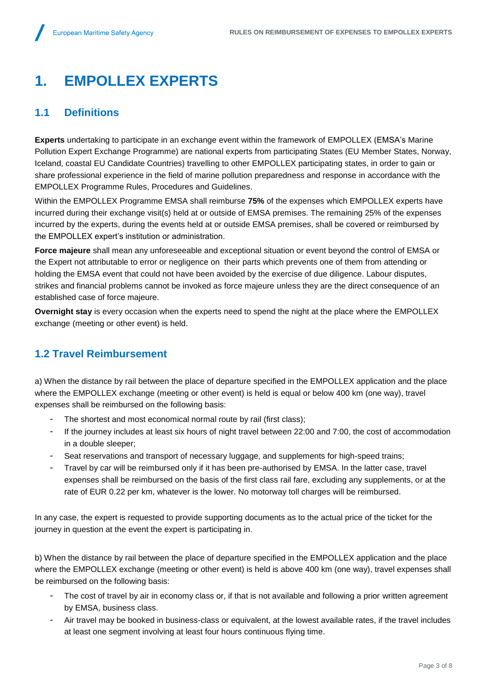# **1. EMPOLLEX EXPERTS**

### <span id="page-2-0"></span>**1.1 Definitions**

**Experts** undertaking to participate in an exchange event within the framework of EMPOLLEX (EMSA's Marine Pollution Expert Exchange Programme) are national experts from participating States (EU Member States, Norway, Iceland, coastal EU Candidate Countries) travelling to other EMPOLLEX participating states, in order to gain or share professional experience in the field of marine pollution preparedness and response in accordance with the EMPOLLEX Programme Rules, Procedures and Guidelines.

Within the EMPOLLEX Programme EMSA shall reimburse **75%** of the expenses which EMPOLLEX experts have incurred during their exchange visit(s) held at or outside of EMSA premises. The remaining 25% of the expenses incurred by the experts, during the events held at or outside EMSA premises, shall be covered or reimbursed by the EMPOLLEX expert's institution or administration.

**Force majeure** shall mean any unforeseeable and exceptional situation or event beyond the control of EMSA or the Expert not attributable to error or negligence on their parts which prevents one of them from attending or holding the EMSA event that could not have been avoided by the exercise of due diligence. Labour disputes, strikes and financial problems cannot be invoked as force majeure unless they are the direct consequence of an established case of force majeure.

**Overnight stay** is every occasion when the experts need to spend the night at the place where the EMPOLLEX exchange (meeting or other event) is held.

### <span id="page-2-1"></span>**1.2 Travel Reimbursement**

a) When the distance by rail between the place of departure specified in the EMPOLLEX application and the place where the EMPOLLEX exchange (meeting or other event) is held is equal or below 400 km (one way), travel expenses shall be reimbursed on the following basis:

- The shortest and most economical normal route by rail (first class);
- If the journey includes at least six hours of night travel between 22:00 and 7:00, the cost of accommodation in a double sleeper;
- Seat reservations and transport of necessary luggage, and supplements for high-speed trains;
- Travel by car will be reimbursed only if it has been pre-authorised by EMSA. In the latter case, travel expenses shall be reimbursed on the basis of the first class rail fare, excluding any supplements, or at the rate of EUR 0.22 per km, whatever is the lower. No motorway toll charges will be reimbursed.

In any case, the expert is requested to provide supporting documents as to the actual price of the ticket for the journey in question at the event the expert is participating in.

b) When the distance by rail between the place of departure specified in the EMPOLLEX application and the place where the EMPOLLEX exchange (meeting or other event) is held is above 400 km (one way), travel expenses shall be reimbursed on the following basis:

- The cost of travel by air in economy class or, if that is not available and following a prior written agreement by EMSA, business class.
- Air travel may be booked in business-class or equivalent, at the lowest available rates, if the travel includes at least one segment involving at least four hours continuous flying time.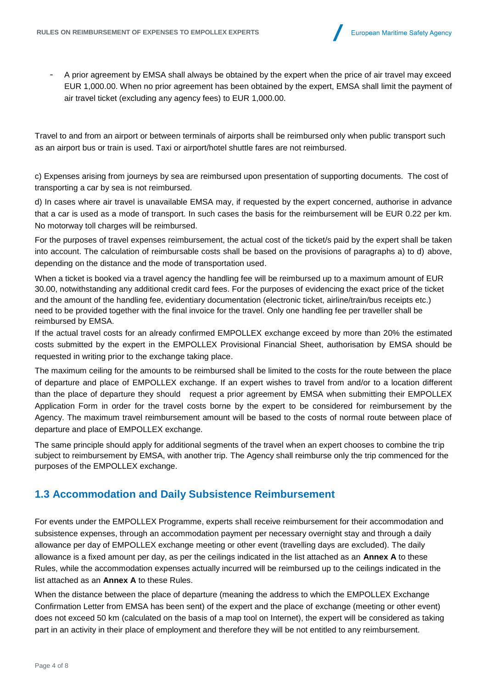

A prior agreement by EMSA shall always be obtained by the expert when the price of air travel may exceed EUR 1,000.00. When no prior agreement has been obtained by the expert, EMSA shall limit the payment of air travel ticket (excluding any agency fees) to EUR 1,000.00.

Travel to and from an airport or between terminals of airports shall be reimbursed only when public transport such as an airport bus or train is used. Taxi or airport/hotel shuttle fares are not reimbursed.

c) Expenses arising from journeys by sea are reimbursed upon presentation of supporting documents. The cost of transporting a car by sea is not reimbursed.

d) In cases where air travel is unavailable EMSA may, if requested by the expert concerned, authorise in advance that a car is used as a mode of transport. In such cases the basis for the reimbursement will be EUR 0.22 per km. No motorway toll charges will be reimbursed.

For the purposes of travel expenses reimbursement, the actual cost of the ticket/s paid by the expert shall be taken into account. The calculation of reimbursable costs shall be based on the provisions of paragraphs a) to d) above, depending on the distance and the mode of transportation used.

When a ticket is booked via a travel agency the handling fee will be reimbursed up to a maximum amount of EUR 30.00, notwithstanding any additional credit card fees. For the purposes of evidencing the exact price of the ticket and the amount of the handling fee, evidentiary documentation (electronic ticket, airline/train/bus receipts etc.) need to be provided together with the final invoice for the travel. Only one handling fee per traveller shall be reimbursed by EMSA.

If the actual travel costs for an already confirmed EMPOLLEX exchange exceed by more than 20% the estimated costs submitted by the expert in the EMPOLLEX Provisional Financial Sheet, authorisation by EMSA should be requested in writing prior to the exchange taking place.

The maximum ceiling for the amounts to be reimbursed shall be limited to the costs for the route between the place of departure and place of EMPOLLEX exchange. If an expert wishes to travel from and/or to a location different than the place of departure they should request a prior agreement by EMSA when submitting their EMPOLLEX Application Form in order for the travel costs borne by the expert to be considered for reimbursement by the Agency. The maximum travel reimbursement amount will be based to the costs of normal route between place of departure and place of EMPOLLEX exchange.

The same principle should apply for additional segments of the travel when an expert chooses to combine the trip subject to reimbursement by EMSA, with another trip. The Agency shall reimburse only the trip commenced for the purposes of the EMPOLLEX exchange.

### <span id="page-3-0"></span>**1.3 Accommodation and Daily Subsistence Reimbursement**

For events under the EMPOLLEX Programme, experts shall receive reimbursement for their accommodation and subsistence expenses, through an accommodation payment per necessary overnight stay and through a daily allowance per day of EMPOLLEX exchange meeting or other event (travelling days are excluded). The daily allowance is a fixed amount per day, as per the ceilings indicated in the list attached as an **Annex A** to these Rules, while the accommodation expenses actually incurred will be reimbursed up to the ceilings indicated in the list attached as an **Annex A** to these Rules.

When the distance between the place of departure (meaning the address to which the EMPOLLEX Exchange Confirmation Letter from EMSA has been sent) of the expert and the place of exchange (meeting or other event) does not exceed 50 km (calculated on the basis of a map tool on Internet), the expert will be considered as taking part in an activity in their place of employment and therefore they will be not entitled to any reimbursement.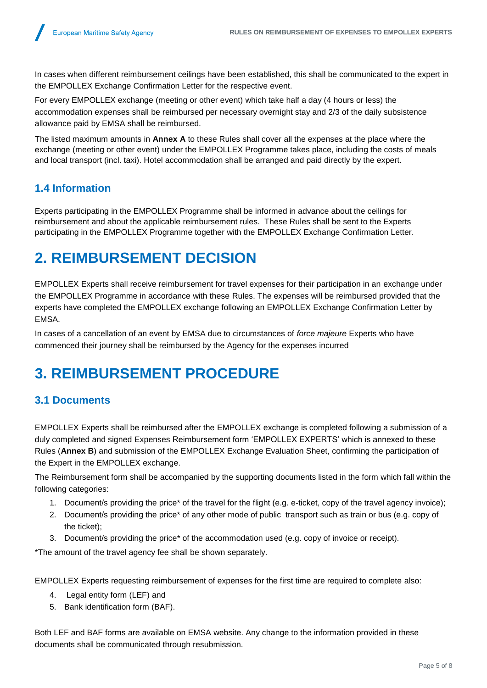In cases when different reimbursement ceilings have been established, this shall be communicated to the expert in the EMPOLLEX Exchange Confirmation Letter for the respective event.

For every EMPOLLEX exchange (meeting or other event) which take half a day (4 hours or less) the accommodation expenses shall be reimbursed per necessary overnight stay and 2/3 of the daily subsistence allowance paid by EMSA shall be reimbursed.

The listed maximum amounts in **Annex A** to these Rules shall cover all the expenses at the place where the exchange (meeting or other event) under the EMPOLLEX Programme takes place, including the costs of meals and local transport (incl. taxi). Hotel accommodation shall be arranged and paid directly by the expert.

### **1.4 Information**

Experts participating in the EMPOLLEX Programme shall be informed in advance about the ceilings for reimbursement and about the applicable reimbursement rules. These Rules shall be sent to the Experts participating in the EMPOLLEX Programme together with the EMPOLLEX Exchange Confirmation Letter.

## <span id="page-4-0"></span>**2. REIMBURSEMENT DECISION**

EMPOLLEX Experts shall receive reimbursement for travel expenses for their participation in an exchange under the EMPOLLEX Programme in accordance with these Rules. The expenses will be reimbursed provided that the experts have completed the EMPOLLEX exchange following an EMPOLLEX Exchange Confirmation Letter by EMSA.

In cases of a cancellation of an event by EMSA due to circumstances of *force majeure* Experts who have commenced their journey shall be reimbursed by the Agency for the expenses incurred

## <span id="page-4-1"></span>**3. REIMBURSEMENT PROCEDURE**

### <span id="page-4-2"></span>**3.1 Documents**

EMPOLLEX Experts shall be reimbursed after the EMPOLLEX exchange is completed following a submission of a duly completed and signed Expenses Reimbursement form 'EMPOLLEX EXPERTS' which is annexed to these Rules (**Annex B**) and submission of the EMPOLLEX Exchange Evaluation Sheet, confirming the participation of the Expert in the EMPOLLEX exchange.

The Reimbursement form shall be accompanied by the supporting documents listed in the form which fall within the following categories:

- 1. Document/s providing the price\* of the travel for the flight (e.g. e-ticket, copy of the travel agency invoice);
- 2. Document/s providing the price\* of any other mode of public transport such as train or bus (e.g. copy of the ticket);
- 3. Document/s providing the price\* of the accommodation used (e.g. copy of invoice or receipt).

\*The amount of the travel agency fee shall be shown separately.

EMPOLLEX Experts requesting reimbursement of expenses for the first time are required to complete also:

- 4. Legal entity form (LEF) and
- 5. Bank identification form (BAF).

Both LEF and BAF forms are available on EMSA website. Any change to the information provided in these documents shall be communicated through resubmission.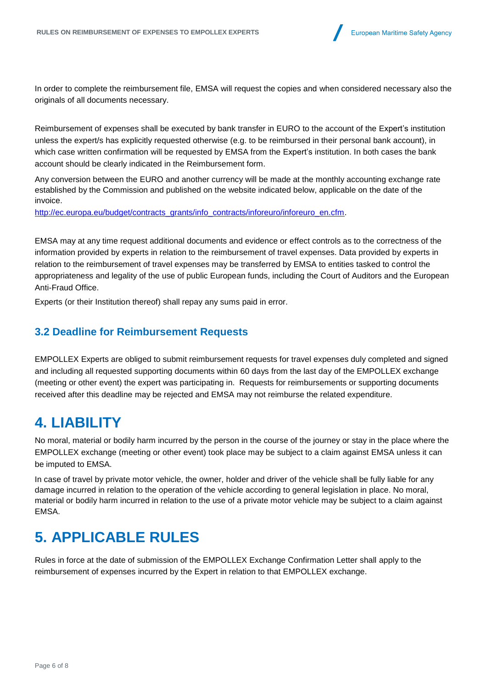

In order to complete the reimbursement file, EMSA will request the copies and when considered necessary also the originals of all documents necessary.

Reimbursement of expenses shall be executed by bank transfer in EURO to the account of the Expert's institution unless the expert/s has explicitly requested otherwise (e.g. to be reimbursed in their personal bank account), in which case written confirmation will be requested by EMSA from the Expert's institution. In both cases the bank account should be clearly indicated in the Reimbursement form.

Any conversion between the EURO and another currency will be made at the monthly accounting exchange rate established by the Commission and published on the website indicated below, applicable on the date of the invoice.

[http://ec.europa.eu/budget/contracts\\_grants/info\\_contracts/inforeuro/inforeuro\\_en.cfm.](http://ec.europa.eu/budget/contracts_grants/info_contracts/inforeuro/inforeuro_en.cfm)

EMSA may at any time request additional documents and evidence or effect controls as to the correctness of the information provided by experts in relation to the reimbursement of travel expenses. Data provided by experts in relation to the reimbursement of travel expenses may be transferred by EMSA to entities tasked to control the appropriateness and legality of the use of public European funds, including the Court of Auditors and the European Anti-Fraud Office.

Experts (or their Institution thereof) shall repay any sums paid in error.

#### <span id="page-5-0"></span>**3.2 Deadline for Reimbursement Requests**

EMPOLLEX Experts are obliged to submit reimbursement requests for travel expenses duly completed and signed and including all requested supporting documents within 60 days from the last day of the EMPOLLEX exchange (meeting or other event) the expert was participating in. Requests for reimbursements or supporting documents received after this deadline may be rejected and EMSA may not reimburse the related expenditure.

### <span id="page-5-1"></span>**4. LIABILITY**

No moral, material or bodily harm incurred by the person in the course of the journey or stay in the place where the EMPOLLEX exchange (meeting or other event) took place may be subject to a claim against EMSA unless it can be imputed to EMSA.

In case of travel by private motor vehicle, the owner, holder and driver of the vehicle shall be fully liable for any damage incurred in relation to the operation of the vehicle according to general legislation in place. No moral, material or bodily harm incurred in relation to the use of a private motor vehicle may be subject to a claim against EMSA.

## <span id="page-5-2"></span>**5. APPLICABLE RULES**

Rules in force at the date of submission of the EMPOLLEX Exchange Confirmation Letter shall apply to the reimbursement of expenses incurred by the Expert in relation to that EMPOLLEX exchange.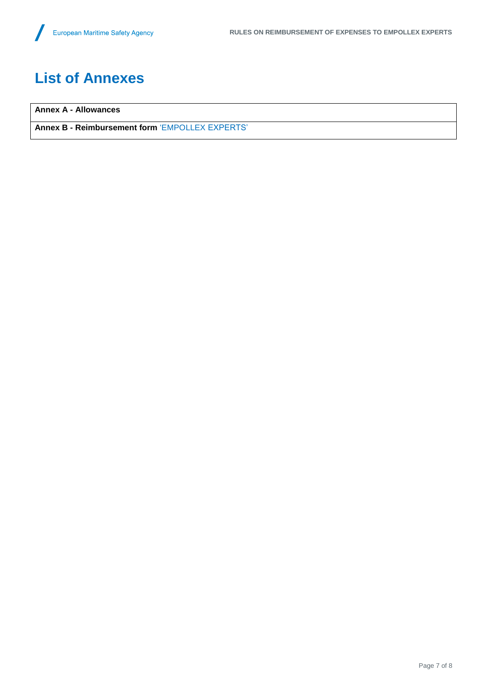# **List of Annexes**

**Annex A - Allowances**

**Annex B - Reimbursement form** 'EMPOLLEX EXPERTS'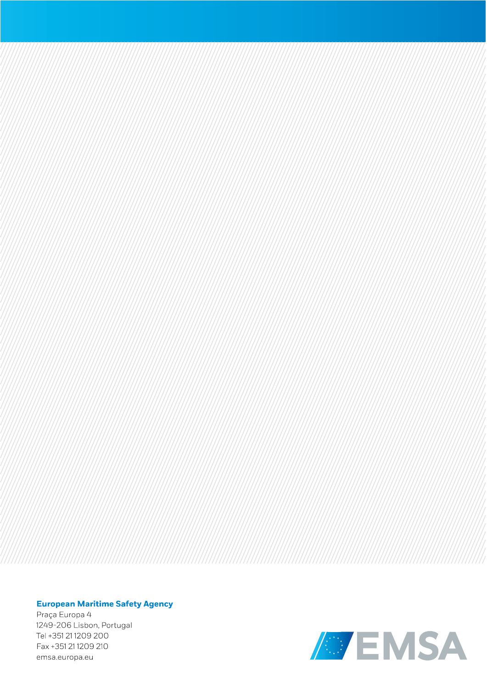#### **European Maritime Safety Agency**

Praça Europa 4 1249-206 Lisbon, Portugal Tel +351 21 1209 200 Fax +351 21 1209 210 emsa.europa.eu

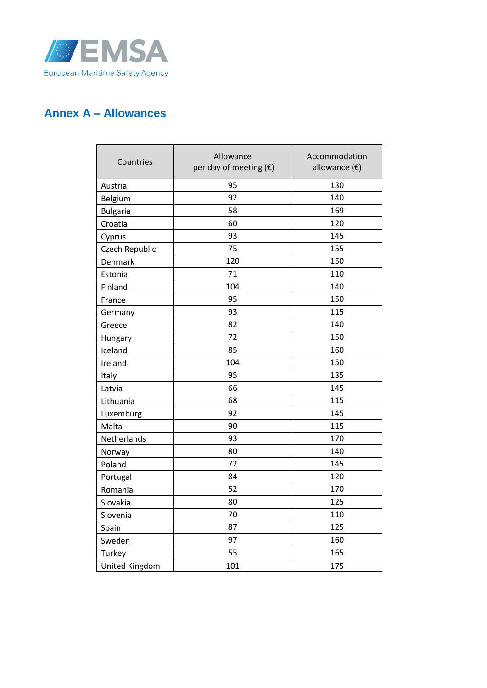

### **Annex A – Allowances**

| Countries       | Allowance<br>per day of meeting $(\epsilon)$ | Accommodation<br>allowance $(\epsilon)$ |
|-----------------|----------------------------------------------|-----------------------------------------|
| Austria         | 95                                           | 130                                     |
| Belgium         | 92                                           | 140                                     |
| <b>Bulgaria</b> | 58                                           | 169                                     |
| Croatia         | 60                                           | 120                                     |
| Cyprus          | 93                                           | 145                                     |
| Czech Republic  | 75                                           | 155                                     |
| Denmark         | 120                                          | 150                                     |
| Estonia         | 71                                           | 110                                     |
| Finland         | 104                                          | 140                                     |
| France          | 95                                           | 150                                     |
| Germany         | 93                                           | 115                                     |
| Greece          | 82                                           | 140                                     |
| Hungary         | 72                                           | 150                                     |
| Iceland         | 85                                           | 160                                     |
| Ireland         | 104                                          | 150                                     |
| Italy           | 95                                           | 135                                     |
| Latvia          | 66                                           | 145                                     |
| Lithuania       | 68                                           | 115                                     |
| Luxemburg       | 92                                           | 145                                     |
| Malta           | 90                                           | 115                                     |
| Netherlands     | 93                                           | 170                                     |
| Norway          | 80                                           | 140                                     |
| Poland          | 72                                           | 145                                     |
| Portugal        | 84                                           | 120                                     |
| Romania         | 52                                           | 170                                     |
| Slovakia        | 80                                           | 125                                     |
| Slovenia        | 70                                           | 110                                     |
| Spain           | 87                                           | 125                                     |
| Sweden          | 97                                           | 160                                     |
| Turkey          | 55                                           | 165                                     |
| United Kingdom  | 101                                          | 175                                     |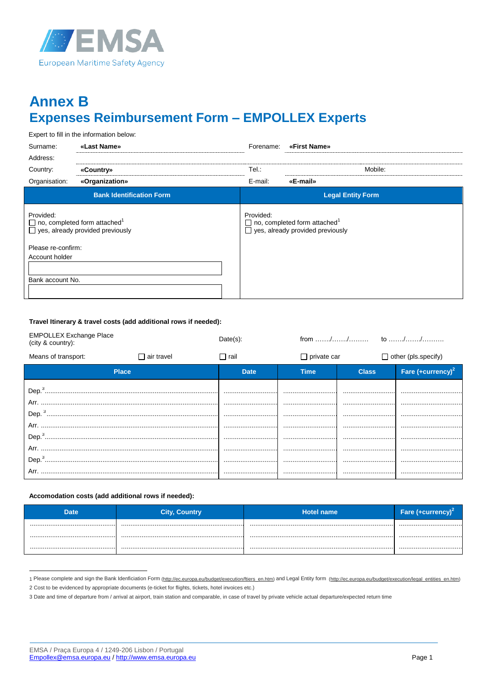

## **Annex B Expenses Reimbursement Form - EMPOLLEX Experts**

Expert to fill in the information below:

| Surname:                                                                                                | «Last Name»                     | Forename: | «First Name»                                                                               |
|---------------------------------------------------------------------------------------------------------|---------------------------------|-----------|--------------------------------------------------------------------------------------------|
| Address:                                                                                                |                                 |           |                                                                                            |
| Country:                                                                                                | «Country»                       | Tel.:     | Mobile:                                                                                    |
| Organisation:                                                                                           | «Organization»                  | E-mail:   | «E-mail»                                                                                   |
|                                                                                                         | <b>Bank Identification Form</b> |           | <b>Legal Entity Form</b>                                                                   |
| Provided:<br>$\Box$ no, completed form attached <sup>1</sup><br>$\Box$ yes, already provided previously |                                 | Provided: | $\Box$ no, completed form attached <sup>1</sup><br>$\Box$ yes, already provided previously |
| Please re-confirm:                                                                                      |                                 |           |                                                                                            |
| Account holder                                                                                          |                                 |           |                                                                                            |
| Bank account No.                                                                                        |                                 |           |                                                                                            |
|                                                                                                         |                                 |           |                                                                                            |

#### Travel Itinerary & travel costs (add additional rows if needed):

| <b>EMPOLLEX Exchange Place</b><br>(city & country): |                   | $Date(s)$ : |                    |              |                            |  |
|-----------------------------------------------------|-------------------|-------------|--------------------|--------------|----------------------------|--|
| Means of transport:                                 | $\Box$ air travel | $\Box$ rail | $\Box$ private car |              | $\Box$ other (pls.specify) |  |
| <b>Place</b>                                        |                   | <b>Date</b> | Time               | <b>Class</b> | Fare $(+curve(y)^2)$       |  |
|                                                     |                   |             |                    |              |                            |  |
|                                                     |                   |             |                    |              |                            |  |

#### Accomodation costs (add additional rows if needed):

| Date | <b>City, Country</b> | <b>Hotel name</b> | Fare (+currency)* |
|------|----------------------|-------------------|-------------------|
|      |                      |                   |                   |
|      |                      |                   |                   |
|      |                      |                   |                   |

<sup>1</sup> Please complete and sign the Bank Idenficiation Form (http://ec.europa.eu/budget/execution/ftiers en.htm) and Legal Entity form (http://ec.europa.eu/budget/execution/legal entities en.htm) 2 Cost to be evidenced by appropriate documents (e-ticket for flights, tickets, hotel invoices etc.)

<sup>3</sup> Date and time of departure from / arrival at airport, train station and comparable, in case of travel by private vehicle actual departure/expected return time